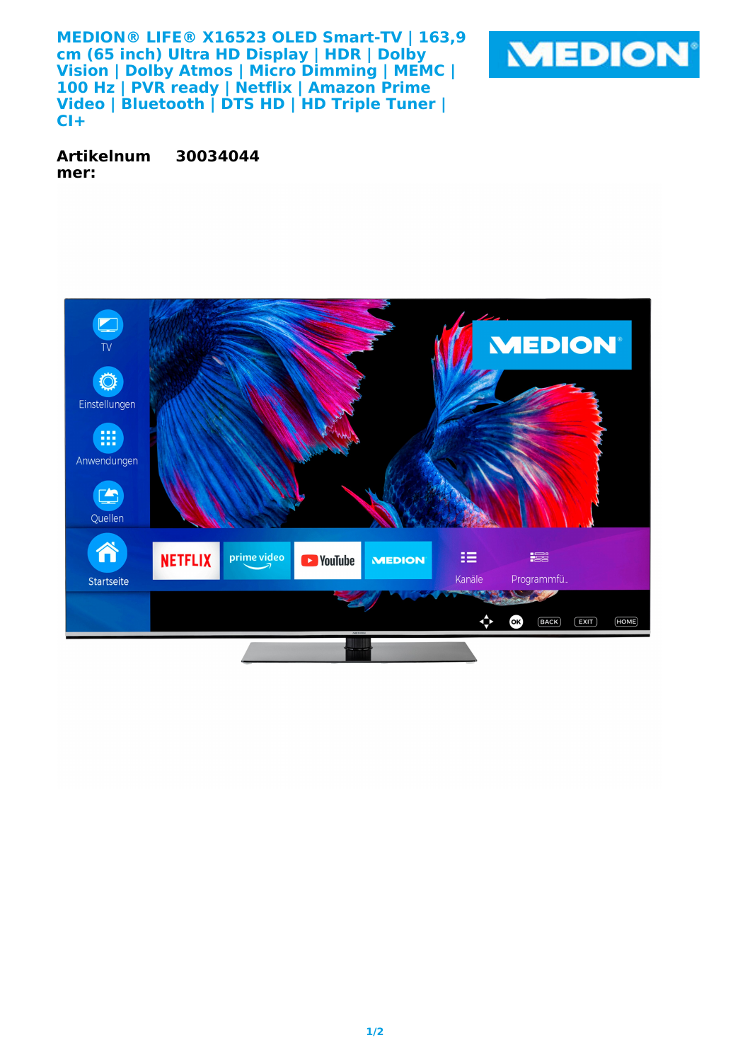**MEDION® LIFE® X16523 OLED Smart-TV | 163,9 cm (65 inch) Ultra HD Display | HDR | Dolby Vision | Dolby Atmos | Micro Dimming | MEMC | 100 Hz | PVR ready | Netflix | Amazon Prime Video | Bluetooth | DTS HD | HD Triple Tuner | CI+**



**Artikelnum mer: 30034044**